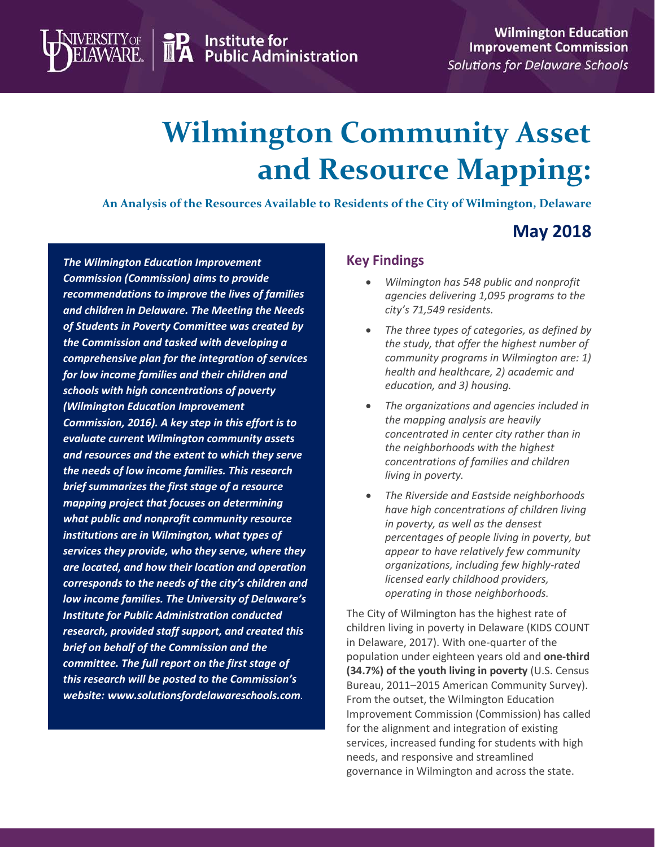**TP** Institute for<br>**IPA** Public Administration

# **Wilmington Community Asset and Resource Mapping:**

**An Analysis of the Resources Available to Residents of the City of Wilmington, Delaware**

## **May 2018**

*The Wilmington Education Improvement Commission (Commission) aims to provide recommendations to improve the lives of families and children in Delaware. The Meeting the Needs of Students in Poverty Committee was created by the Commission and tasked with developing a comprehensive plan for the integration of services for low income families and their children and schools with high concentrations of poverty (Wilmington Education Improvement Commission, 2016). A key step in this effort is to evaluate current Wilmington community assets and resources and the extent to which they serve the needs of low income families. This research brief summarizes the first stage of a resource mapping project that focuses on determining what public and nonprofit community resource institutions are in Wilmington, what types of services they provide, who they serve, where they are located, and how their location and operation corresponds to the needs of the city's children and low income families. The University of Delaware's Institute for Public Administration conducted research, provided staff support, and created this brief on behalf of the Commission and the committee. The full report on the first stage of this research will be posted to the Commission's website: [www.solutionsfordelawareschools.com](http://www.solutionsfordelawareschools.com/).*

**VERSITY OF** 

#### **Key Findings**

- *Wilmington has 548 public and nonprofit agencies delivering 1,095 programs to the city's 71,549 residents.*
- *The three types of categories, as defined by the study, that offer the highest number of community programs in Wilmington are: 1) health and healthcare, 2) academic and education, and 3) housing.*
- *The organizations and agencies included in the mapping analysis are heavily concentrated in center city rather than in the neighborhoods with the highest concentrations of families and children living in poverty.*
- *The Riverside and Eastside neighborhoods have high concentrations of children living in poverty, as well as the densest percentages of people living in poverty, but appear to have relatively few community organizations, including few highly-rated licensed early childhood providers, operating in those neighborhoods.*

The City of Wilmington has the highest rate of children living in poverty in Delaware (KIDS COUNT in Delaware, 2017). With one-quarter of the population under eighteen years old and **one-third (34.7%) of the youth living in poverty** (U.S. Census Bureau, 2011–2015 American Community Survey). From the outset, the Wilmington Education Improvement Commission (Commission) has called for the alignment and integration of existing services, increased funding for students with high needs, and responsive and streamlined governance in Wilmington and across the state.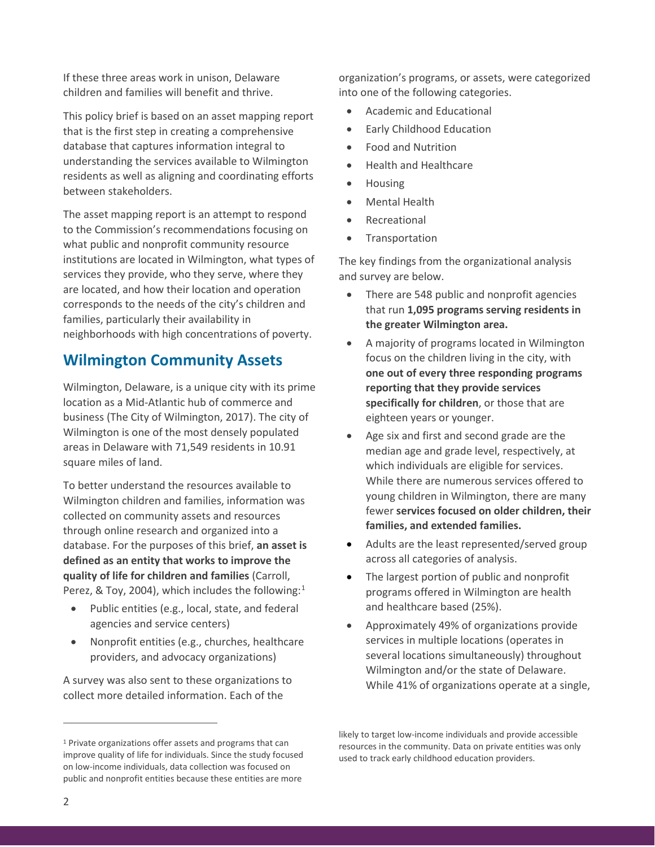If these three areas work in unison, Delaware children and families will benefit and thrive.

This policy brief is based on an asset mapping report that is the first step in creating a comprehensive database that captures information integral to understanding the services available to Wilmington residents as well as aligning and coordinating efforts between stakeholders.

The asset mapping report is an attempt to respond to the Commission's recommendations focusing on what public and nonprofit community resource institutions are located in Wilmington, what types of services they provide, who they serve, where they are located, and how their location and operation corresponds to the needs of the city's children and families, particularly their availability in neighborhoods with high concentrations of poverty.

## **Wilmington Community Assets**

Wilmington, Delaware, is a unique city with its prime location as a Mid-Atlantic hub of commerce and business (The City of Wilmington, 2017). The city of Wilmington is one of the most densely populated areas in Delaware with 71,549 residents in 10.91 square miles of land.

To better understand the resources available to Wilmington children and families, information was collected on community assets and resources through online research and organized into a database. For the purposes of this brief, **an asset is defined as an entity that works to improve the quality of life for children and families** (Carroll, Perez, & Toy, 2004), which includes the following:<sup>[1](#page-1-0)</sup>

- Public entities (e.g., local, state, and federal agencies and service centers)
- Nonprofit entities (e.g., churches, healthcare providers, and advocacy organizations)

A survey was also sent to these organizations to collect more detailed information. Each of the

organization's programs, or assets, were categorized into one of the following categories.

- Academic and Educational
- Early Childhood Education
- Food and Nutrition
- Health and Healthcare
- Housing
- Mental Health
- **Recreational**
- Transportation

The key findings from the organizational analysis and survey are below.

- There are 548 public and nonprofit agencies that run **1,095 programs serving residents in the greater Wilmington area.**
- A majority of programs located in Wilmington focus on the children living in the city, with **one out of every three responding programs reporting that they provide services specifically for children**, or those that are eighteen years or younger.
- Age six and first and second grade are the median age and grade level, respectively, at which individuals are eligible for services. While there are numerous services offered to young children in Wilmington, there are many fewer **services focused on older children, their families, and extended families.**
- Adults are the least represented/served group across all categories of analysis.
- The largest portion of public and nonprofit programs offered in Wilmington are health and healthcare based (25%).
- Approximately 49% of organizations provide services in multiple locations (operates in several locations simultaneously) throughout Wilmington and/or the state of Delaware. While 41% of organizations operate at a single,

likely to target low-income individuals and provide accessible resources in the community. Data on private entities was only used to track early childhood education providers.

 $\overline{a}$ 

<span id="page-1-0"></span><sup>&</sup>lt;sup>1</sup> Private organizations offer assets and programs that can improve quality of life for individuals. Since the study focused on low-income individuals, data collection was focused on public and nonprofit entities because these entities are more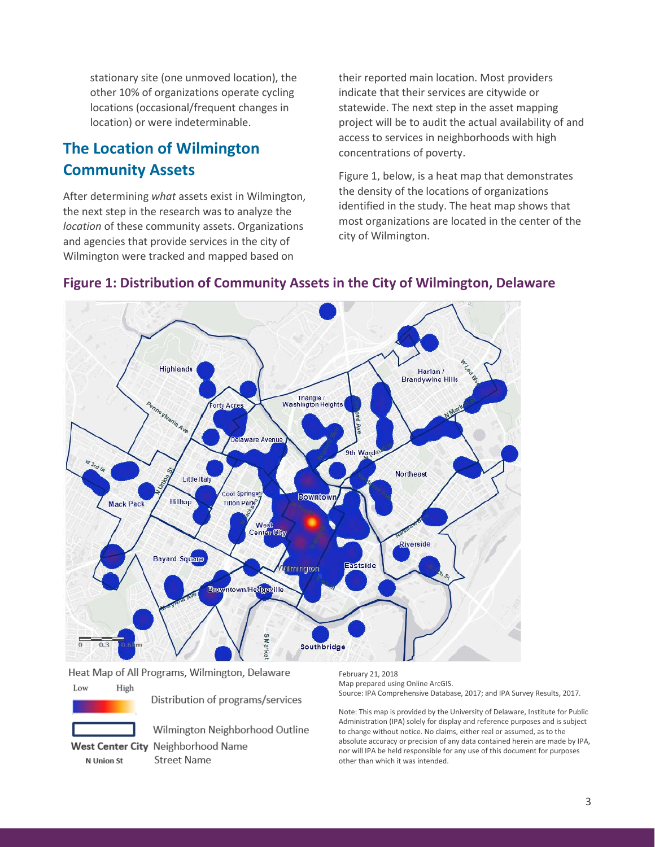stationary site (one unmoved location), the other 10% of organizations operate cycling locations (occasional/frequent changes in location) or were indeterminable.

## **The Location of Wilmington Community Assets**

After determining *what* assets exist in Wilmington, the next step in the research was to analyze the *location* of these community assets. Organizations and agencies that provide services in the city of Wilmington were tracked and mapped based on

their reported main location. Most providers indicate that their services are citywide or statewide. The next step in the asset mapping project will be to audit the actual availability of and access to services in neighborhoods with high concentrations of poverty.

Figure 1, below, is a heat map that demonstrates the density of the locations of organizations identified in the study. The heat map shows that most organizations are located in the center of the city of Wilmington.



#### **Figure 1: Distribution of Community Assets in the City of Wilmington, Delaware**

Heat Map of All Programs, Wilmington, Delaware

Low High

Distribution of programs/services



N Union St

Wilmington Neighborhood Outline West Center City Neighborhood Name

**Street Name** 

February 21, 2018 Map prepared using Online ArcGIS. Source: IPA Comprehensive Database, 2017; and IPA Survey Results, 2017.

Note: This map is provided by the University of Delaware, Institute for Public Administration (IPA) solely for display and reference purposes and is subject to change without notice. No claims, either real or assumed, as to the absolute accuracy or precision of any data contained herein are made by IPA, nor will IPA be held responsible for any use of this document for purposes other than which it was intended.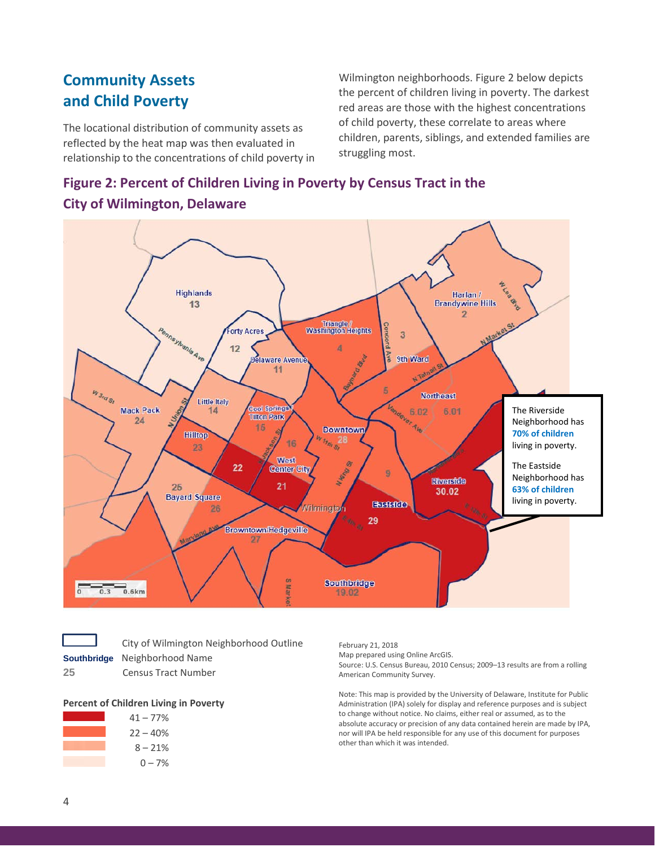## **Community Assets and Child Poverty**

The locational distribution of community assets as reflected by the heat map was then evaluated in relationship to the concentrations of child poverty in Wilmington neighborhoods. Figure 2 below depicts the percent of children living in poverty. The darkest red areas are those with the highest concentrations of child poverty, these correlate to areas where children, parents, siblings, and extended families are struggling most.

## **Figure 2: Percent of Children Living in Poverty by Census Tract in the**



#### **City of Wilmington, Delaware**

| <b>Southbridg</b> |  |
|-------------------|--|

 City of Wilmington Neighborhood Outline **Bouthary Southbryon** Name

**25** Census Tract Number

#### **Percent of Children Living in Poverty**



February 21, 2018 Map prepared using Online ArcGIS. Source: U.S. Census Bureau, 2010 Census; 2009–13 results are from a rolling American Community Survey.

Note: This map is provided by the University of Delaware, Institute for Public Administration (IPA) solely for display and reference purposes and is subject to change without notice. No claims, either real or assumed, as to the absolute accuracy or precision of any data contained herein are made by IPA, nor will IPA be held responsible for any use of this document for purposes other than which it was intended.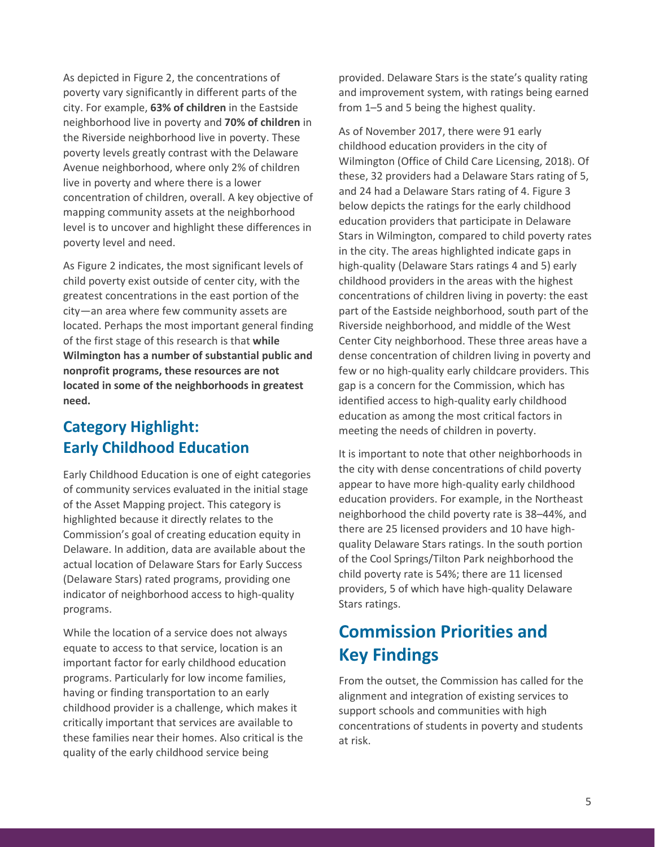As depicted in Figure 2, the concentrations of poverty vary significantly in different parts of the city. For example, **63% of children** in the Eastside neighborhood live in poverty and **70% of children** in the Riverside neighborhood live in poverty. These poverty levels greatly contrast with the Delaware Avenue neighborhood, where only 2% of children live in poverty and where there is a lower concentration of children, overall. A key objective of mapping community assets at the neighborhood level is to uncover and highlight these differences in poverty level and need.

As Figure 2 indicates, the most significant levels of child poverty exist outside of center city, with the greatest concentrations in the east portion of the city—an area where few community assets are located. Perhaps the most important general finding of the first stage of this research is that **while Wilmington has a number of substantial public and nonprofit programs, these resources are not located in some of the neighborhoods in greatest need.**

## **Category Highlight: Early Childhood Education**

Early Childhood Education is one of eight categories of community services evaluated in the initial stage of the Asset Mapping project. This category is highlighted because it directly relates to the Commission's goal of creating education equity in Delaware. In addition, data are available about the actual location of Delaware Stars for Early Success (Delaware Stars) rated programs, providing one indicator of neighborhood access to high-quality programs.

While the location of a service does not always equate to access to that service, location is an important factor for early childhood education programs. Particularly for low income families, having or finding transportation to an early childhood provider is a challenge, which makes it critically important that services are available to these families near their homes. Also critical is the quality of the early childhood service being

provided. Delaware Stars is the state's quality rating and improvement system, with ratings being earned from 1–5 and 5 being the highest quality.

As of November 2017, there were 91 early childhood education providers in the city of Wilmington (Office of Child Care Licensing, 2018). Of these, 32 providers had a Delaware Stars rating of 5, and 24 had a Delaware Stars rating of 4. Figure 3 below depicts the ratings for the early childhood education providers that participate in Delaware Stars in Wilmington, compared to child poverty rates in the city. The areas highlighted indicate gaps in high-quality (Delaware Stars ratings 4 and 5) early childhood providers in the areas with the highest concentrations of children living in poverty: the east part of the Eastside neighborhood, south part of the Riverside neighborhood, and middle of the West Center City neighborhood. These three areas have a dense concentration of children living in poverty and few or no high-quality early childcare providers. This gap is a concern for the Commission, which has identified access to high-quality early childhood education as among the most critical factors in meeting the needs of children in poverty.

It is important to note that other neighborhoods in the city with dense concentrations of child poverty appear to have more high-quality early childhood education providers. For example, in the Northeast neighborhood the child poverty rate is 38–44%, and there are 25 licensed providers and 10 have highquality Delaware Stars ratings. In the south portion of the Cool Springs/Tilton Park neighborhood the child poverty rate is 54%; there are 11 licensed providers, 5 of which have high-quality Delaware Stars ratings.

## **Commission Priorities and Key Findings**

From the outset, the Commission has called for the alignment and integration of existing services to support schools and communities with high concentrations of students in poverty and students at risk.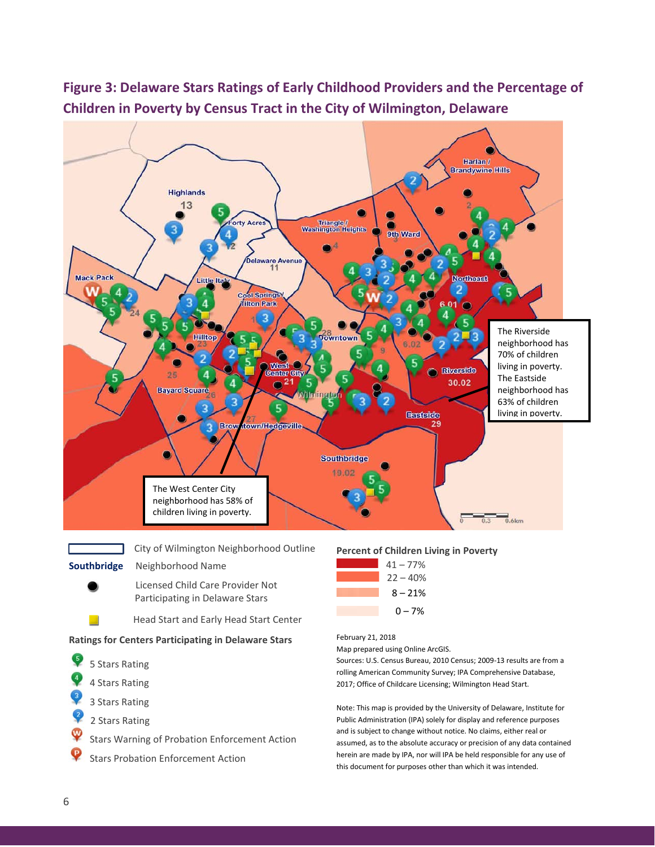

this document for purposes other than which it was intended.

## **Figure 3: Delaware Stars Ratings of Early Childhood Providers and the Percentage of Children in Poverty by Census Tract in the City of Wilmington, Delaware**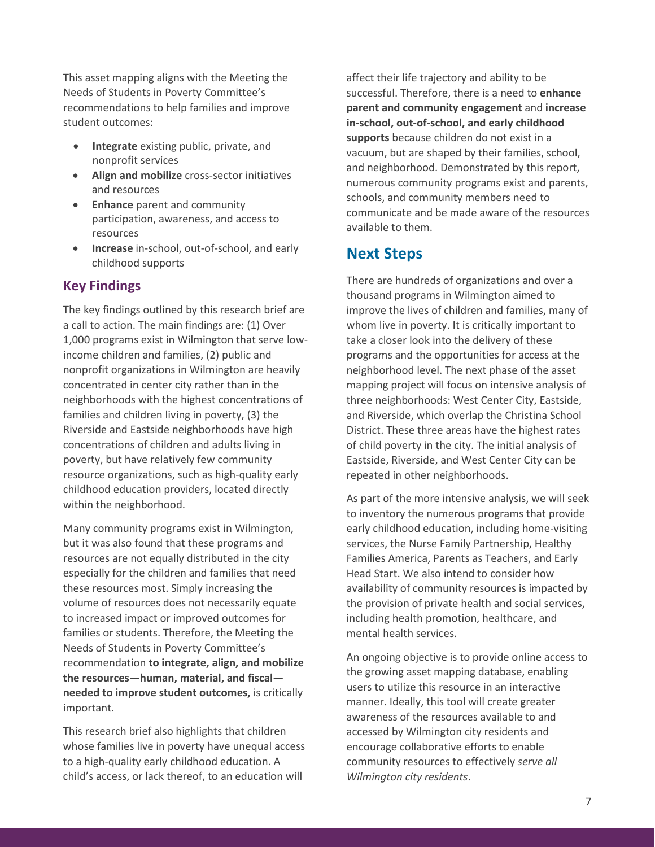This asset mapping aligns with the Meeting the Needs of Students in Poverty Committee's recommendations to help families and improve student outcomes:

- **Integrate** existing public, private, and nonprofit services
- **Align and mobilize** cross-sector initiatives and resources
- **Enhance** parent and community participation, awareness, and access to resources
- **Increase** in-school, out-of-school, and early childhood supports

#### **Key Findings**

The key findings outlined by this research brief are a call to action. The main findings are: (1) Over 1,000 programs exist in Wilmington that serve lowincome children and families, (2) public and nonprofit organizations in Wilmington are heavily concentrated in center city rather than in the neighborhoods with the highest concentrations of families and children living in poverty, (3) the Riverside and Eastside neighborhoods have high concentrations of children and adults living in poverty, but have relatively few community resource organizations, such as high-quality early childhood education providers, located directly within the neighborhood.

Many community programs exist in Wilmington, but it was also found that these programs and resources are not equally distributed in the city especially for the children and families that need these resources most. Simply increasing the volume of resources does not necessarily equate to increased impact or improved outcomes for families or students. Therefore, the Meeting the Needs of Students in Poverty Committee's recommendation **to integrate, align, and mobilize the resources—human, material, and fiscal needed to improve student outcomes,** is critically important.

This research brief also highlights that children whose families live in poverty have unequal access to a high-quality early childhood education. A child's access, or lack thereof, to an education will

affect their life trajectory and ability to be successful. Therefore, there is a need to **enhance parent and community engagement** and **increase in-school, out-of-school, and early childhood supports** because children do not exist in a vacuum, but are shaped by their families, school, and neighborhood. Demonstrated by this report, numerous community programs exist and parents, schools, and community members need to communicate and be made aware of the resources available to them.

## **Next Steps**

There are hundreds of organizations and over a thousand programs in Wilmington aimed to improve the lives of children and families, many of whom live in poverty. It is critically important to take a closer look into the delivery of these programs and the opportunities for access at the neighborhood level. The next phase of the asset mapping project will focus on intensive analysis of three neighborhoods: West Center City, Eastside, and Riverside, which overlap the Christina School District. These three areas have the highest rates of child poverty in the city. The initial analysis of Eastside, Riverside, and West Center City can be repeated in other neighborhoods.

As part of the more intensive analysis, we will seek to inventory the numerous programs that provide early childhood education, including home-visiting services, the Nurse Family Partnership, Healthy Families America, Parents as Teachers, and Early Head Start. We also intend to consider how availability of community resources is impacted by the provision of private health and social services, including health promotion, healthcare, and mental health services.

An ongoing objective is to provide online access to the growing asset mapping database, enabling users to utilize this resource in an interactive manner. Ideally, this tool will create greater awareness of the resources available to and accessed by Wilmington city residents and encourage collaborative efforts to enable community resources to effectively *serve all Wilmington city residents*.